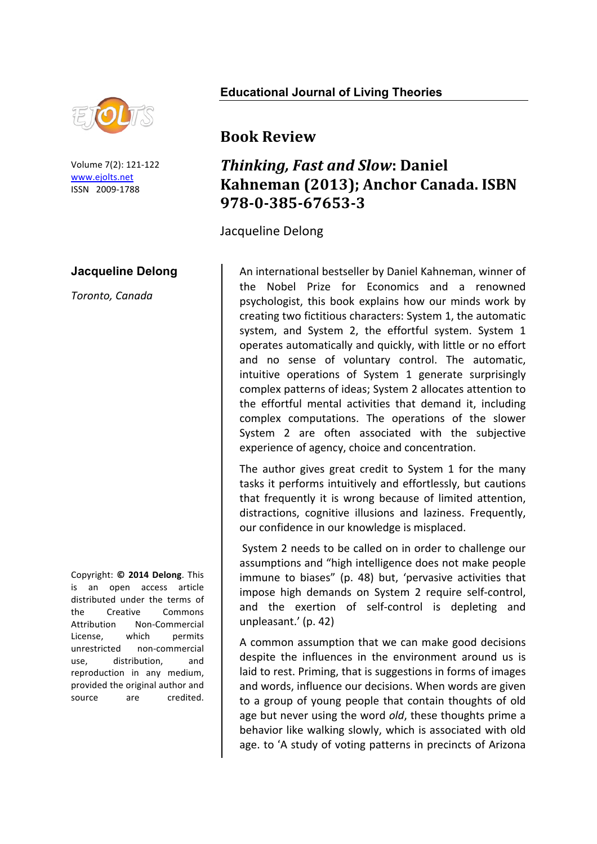

Volume 7(2): 121-122 www.ejolts.net ISSN 2009-1788

## **Jacqueline Delong**

*Toronto, Canada*

Copyright: **© 2014 Delong**. This is an open access article distributed under the terms of the Creative Commons Attribution Non-Commercial License. which permits unrestricted non-commercial use, distribution, and reproduction in any medium, provided the original author and source are credited.

## **Educational Journal of Living Theories**

## **Book Review**

## *Thinking, Fast and Slow: Daniel* **Kahneman (2013); Anchor Canada. ISBN 978-0-385-67653-3**

Jacqueline Delong

An international bestseller by Daniel Kahneman, winner of the Nobel Prize for Economics and a renowned psychologist, this book explains how our minds work by creating two fictitious characters: System 1, the automatic system, and System 2, the effortful system. System 1 operates automatically and quickly, with little or no effort and no sense of voluntary control. The automatic, intuitive operations of System 1 generate surprisingly complex patterns of ideas; System 2 allocates attention to the effortful mental activities that demand it, including complex computations. The operations of the slower System 2 are often associated with the subjective experience of agency, choice and concentration.

The author gives great credit to System 1 for the many tasks it performs intuitively and effortlessly, but cautions that frequently it is wrong because of limited attention, distractions, cognitive illusions and laziness. Frequently, our confidence in our knowledge is misplaced.

System 2 needs to be called on in order to challenge our assumptions and "high intelligence does not make people immune to biases" (p. 48) but, 'pervasive activities that impose high demands on System 2 require self-control, and the exertion of self-control is depleting and unpleasant.' (p. 42)

A common assumption that we can make good decisions despite the influences in the environment around us is laid to rest. Priming, that is suggestions in forms of images and words, influence our decisions. When words are given to a group of young people that contain thoughts of old age but never using the word *old*, these thoughts prime a behavior like walking slowly, which is associated with old age. to 'A study of voting patterns in precincts of Arizona